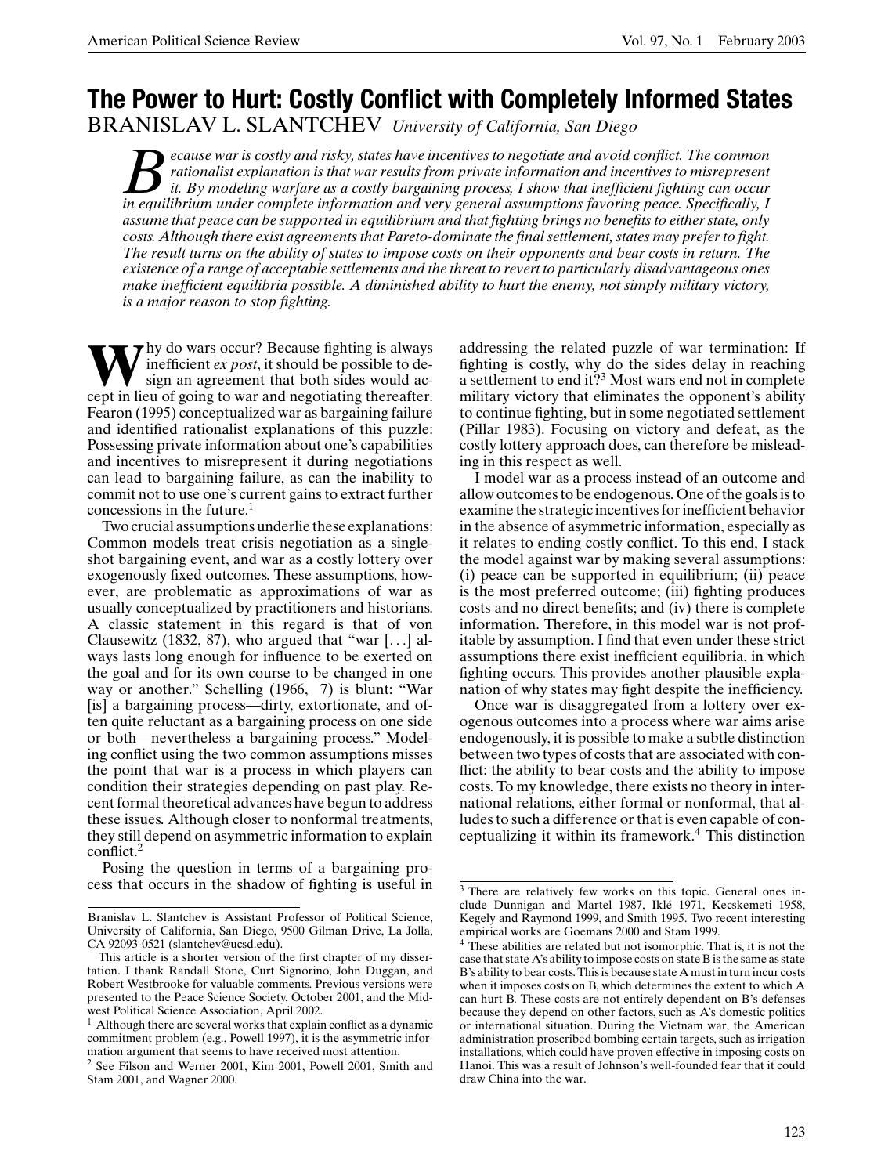# **The Power to Hurt: Costly Conflict with Completely Informed States**

BRANISLAV L. SLANTCHEV *University of California, San Diego*

**B** *cause war is costly and risky, states have incentives to negotiate and avoid conflict. The common intimalist explanation is that war results from private information and incentives to misrepresent it. By modeling rationalist explanation is that war results from private information and incentives to misrepresent in equilibrium under complete information and very general assumptions favoring peace. Specifically, I assume that peace can be supported in equilibrium and that fighting brings no benefits to either state, only costs. Although there exist agreements that Pareto-dominate the final settlement, states may prefer to fight. The result turns on the ability of states to impose costs on their opponents and bear costs in return. The existence of a range of acceptable settlements and the threat to revert to particularly disadvantageous ones make inefficient equilibria possible. A diminished ability to hurt the enemy, not simply military victory, is a major reason to stop fighting.*

Thy do wars occur? Because fighting is always inefficient *ex post*, it should be possible to design an agreement that both sides would accept in lieu of going to war and negotiating thereafter. Fearon (1995) conceptualized war as bargaining failure and identified rationalist explanations of this puzzle: Possessing private information about one's capabilities and incentives to misrepresent it during negotiations can lead to bargaining failure, as can the inability to commit not to use one's current gains to extract further concessions in the future.<sup>1</sup>

Two crucial assumptions underlie these explanations: Common models treat crisis negotiation as a singleshot bargaining event, and war as a costly lottery over exogenously fixed outcomes. These assumptions, however, are problematic as approximations of war as usually conceptualized by practitioners and historians. A classic statement in this regard is that of von Clausewitz (1832, 87), who argued that "war  $\left[\ldots\right]$  always lasts long enough for influence to be exerted on the goal and for its own course to be changed in one way or another." Schelling (1966, 7) is blunt: "War [is] a bargaining process-dirty, extortionate, and often quite reluctant as a bargaining process on one side or both—nevertheless a bargaining process." Modeling conflict using the two common assumptions misses the point that war is a process in which players can condition their strategies depending on past play. Recent formal theoretical advances have begun to address these issues. Although closer to nonformal treatments, they still depend on asymmetric information to explain conflict.<sup>2</sup>

Posing the question in terms of a bargaining process that occurs in the shadow of fighting is useful in addressing the related puzzle of war termination: If fighting is costly, why do the sides delay in reaching a settlement to end it? $3$  Most wars end not in complete military victory that eliminates the opponent's ability to continue fighting, but in some negotiated settlement (Pillar 1983). Focusing on victory and defeat, as the costly lottery approach does, can therefore be misleading in this respect as well.

I model war as a process instead of an outcome and allow outcomes to be endogenous. One of the goals is to examine the strategic incentives for inefficient behavior in the absence of asymmetric information, especially as it relates to ending costly conflict. To this end, I stack the model against war by making several assumptions: (i) peace can be supported in equilibrium; (ii) peace is the most preferred outcome; (iii) fighting produces costs and no direct benefits; and (iv) there is complete information. Therefore, in this model war is not profitable by assumption. I find that even under these strict assumptions there exist inefficient equilibria, in which fighting occurs. This provides another plausible explanation of why states may fight despite the inefficiency.

Once war is disaggregated from a lottery over exogenous outcomes into a process where war aims arise endogenously, it is possible to make a subtle distinction between two types of costs that are associated with conflict: the ability to bear costs and the ability to impose costs. To my knowledge, there exists no theory in international relations, either formal or nonformal, that alludes to such a difference or that is even capable of conceptualizing it within its framework.<sup>4</sup> This distinction

Branislav L. Slantchev is Assistant Professor of Political Science, University of California, San Diego, 9500 Gilman Drive, La Jolla, CA 92093-0521 (slantchev@ucsd.edu).

This article is a shorter version of the first chapter of my dissertation. I thank Randall Stone, Curt Signorino, John Duggan, and Robert Westbrooke for valuable comments. Previous versions were presented to the Peace Science Society, October 2001, and the Midwest Political Science Association, April 2002.

<sup>1</sup> Although there are several works that explain conflict as a dynamic commitment problem (e.g., Powell 1997), it is the asymmetric information argument that seems to have received most attention.

<sup>&</sup>lt;sup>2</sup> See Filson and Werner 2001, Kim 2001, Powell 2001, Smith and Stam 2001, and Wagner 2000.

<sup>3</sup> There are relatively few works on this topic. General ones include Dunnigan and Martel 1987, Iklé 1971, Kecskemeti 1958, Kegely and Raymond 1999, and Smith 1995. Two recent interesting empirical works are Goemans 2000 and Stam 1999.

<sup>4</sup> These abilities are related but not isomorphic. That is, it is not the case that state A's ability to impose costs on state B is the same as state B's ability to bear costs. This is because state A must in turn incur costs when it imposes costs on B, which determines the extent to which A can hurt B. These costs are not entirely dependent on B's defenses because they depend on other factors, such as A's domestic politics or international situation. During the Vietnam war, the American administration proscribed bombing certain targets, such as irrigation installations, which could have proven effective in imposing costs on Hanoi. This was a result of Johnson's well-founded fear that it could draw China into the war.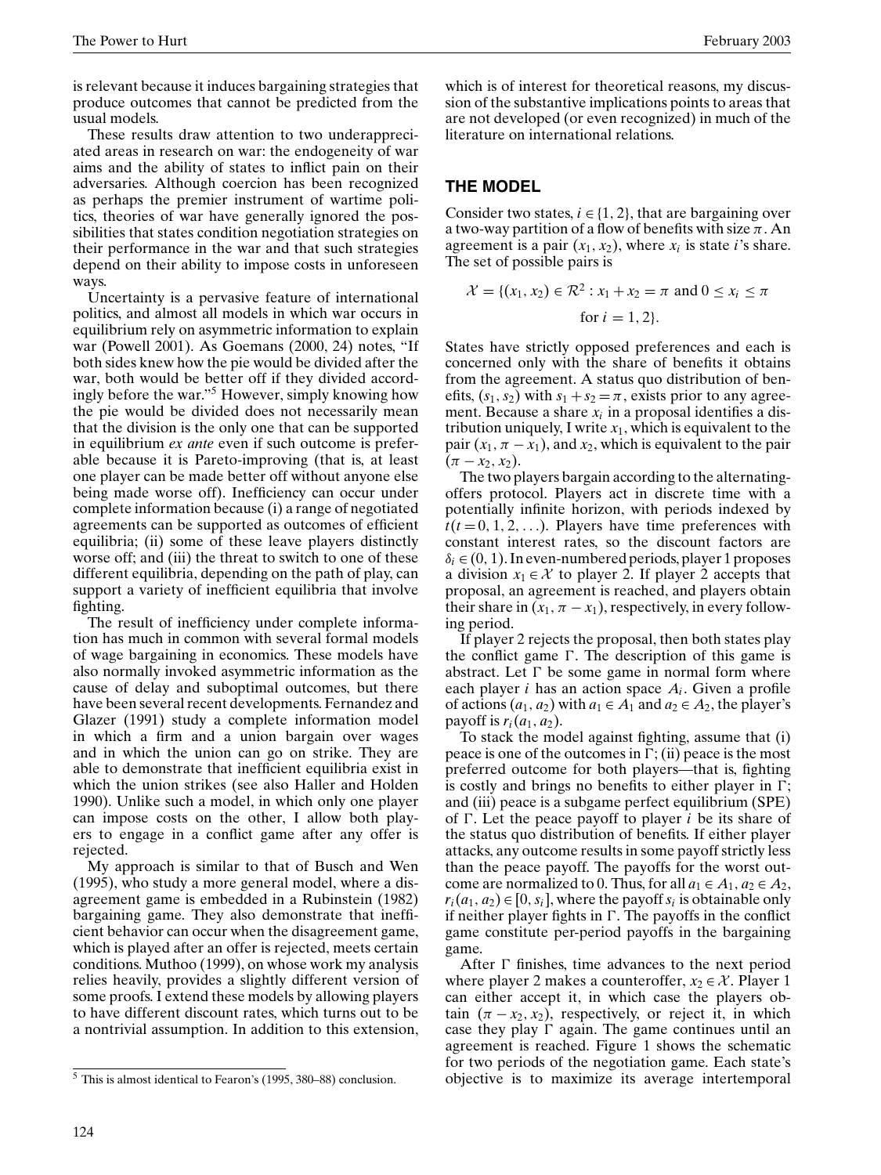is relevant because it induces bargaining strategies that produce outcomes that cannot be predicted from the usual models.

These results draw attention to two underappreciated areas in research on war: the endogeneity of war aims and the ability of states to inflict pain on their adversaries. Although coercion has been recognized as perhaps the premier instrument of wartime politics, theories of war have generally ignored the possibilities that states condition negotiation strategies on their performance in the war and that such strategies depend on their ability to impose costs in unforeseen ways.

Uncertainty is a pervasive feature of international politics, and almost all models in which war occurs in equilibrium rely on asymmetric information to explain war (Powell 2001). As Goemans (2000, 24) notes, "If both sides knew how the pie would be divided after the war, both would be better off if they divided accordingly before the war."<sup>5</sup> However, simply knowing how the pie would be divided does not necessarily mean that the division is the only one that can be supported in equilibrium *ex ante* even if such outcome is preferable because it is Pareto-improving (that is, at least one player can be made better off without anyone else being made worse off). Inefficiency can occur under complete information because (i) a range of negotiated agreements can be supported as outcomes of efficient equilibria; (ii) some of these leave players distinctly worse off; and (iii) the threat to switch to one of these different equilibria, depending on the path of play, can support a variety of inefficient equilibria that involve fighting.

The result of inefficiency under complete information has much in common with several formal models of wage bargaining in economics. These models have also normally invoked asymmetric information as the cause of delay and suboptimal outcomes, but there have been several recent developments. Fernandez and Glazer (1991) study a complete information model in which a firm and a union bargain over wages and in which the union can go on strike. They are able to demonstrate that inefficient equilibria exist in which the union strikes (see also Haller and Holden 1990). Unlike such a model, in which only one player can impose costs on the other, I allow both players to engage in a conflict game after any offer is rejected.

My approach is similar to that of Busch and Wen (1995), who study a more general model, where a disagreement game is embedded in a Rubinstein (1982) bargaining game. They also demonstrate that inefficient behavior can occur when the disagreement game, which is played after an offer is rejected, meets certain conditions. Muthoo (1999), on whose work my analysis relies heavily, provides a slightly different version of some proofs. I extend these models by allowing players to have different discount rates, which turns out to be a nontrivial assumption. In addition to this extension,

which is of interest for theoretical reasons, my discussion of the substantive implications points to areas that are not developed (or even recognized) in much of the literature on international relations.

## **THE MODEL**

Consider two states,  $i \in \{1, 2\}$ , that are bargaining over a two-way partition of a flow of benefits with size  $\pi$ . An agreement is a pair  $(x_1, x_2)$ , where  $x_i$  is state *i*'s share. The set of possible pairs is

$$
\mathcal{X} = \{ (x_1, x_2) \in \mathcal{R}^2 : x_1 + x_2 = \pi \text{ and } 0 \le x_i \le \pi \text{ for } i = 1, 2 \}.
$$

States have strictly opposed preferences and each is concerned only with the share of benefits it obtains from the agreement. A status quo distribution of benefits,  $(s_1, s_2)$  with  $s_1 + s_2 = \pi$ , exists prior to any agreement. Because a share  $x_i$  in a proposal identifies a distribution uniquely, I write  $x_1$ , which is equivalent to the pair  $(x_1, \pi - x_1)$ , and  $x_2$ , which is equivalent to the pair  $(\pi - x_2, x_2).$ 

The two players bargain according to the alternatingoffers protocol. Players act in discrete time with a potentially infinite horizon, with periods indexed by  $t(t=0, 1, 2, \ldots)$ . Players have time preferences with constant interest rates, so the discount factors are  $\delta_i \in (0, 1)$ . In even-numbered periods, player 1 proposes a division  $x_1 \in \mathcal{X}$  to player 2. If player 2 accepts that proposal, an agreement is reached, and players obtain their share in  $(x_1, \pi - x_1)$ , respectively, in every following period.

If player 2 rejects the proposal, then both states play the conflict game  $\Gamma$ . The description of this game is abstract. Let  $\Gamma$  be some game in normal form where each player *i* has an action space  $A_i$ . Given a profile of actions  $(a_1, a_2)$  with  $a_1 \in A_1$  and  $a_2 \in A_2$ , the player's payoff is  $r_i(a_1, a_2)$ .

To stack the model against fighting, assume that (i) peace is one of the outcomes in  $\Gamma$ ; (ii) peace is the most preferred outcome for both players—that is, fighting is costly and brings no benefits to either player in  $\Gamma$ ; and (iii) peace is a subgame perfect equilibrium (SPE) of  $\Gamma$ . Let the peace payoff to player *i* be its share of the status quo distribution of benefits. If either player attacks, any outcome results in some payoff strictly less than the peace payoff. The payoffs for the worst outcome are normalized to 0. Thus, for all  $a_1 \in A_1$ ,  $a_2 \in A_2$ ,  $r_i(a_1, a_2) \in [0, s_i]$ , where the payoff  $s_i$  is obtainable only if neither player fights in  $\Gamma$ . The payoffs in the conflict game constitute per-period payoffs in the bargaining game.

After  $\Gamma$  finishes, time advances to the next period where player 2 makes a counteroffer,  $x_2 \in \mathcal{X}$ . Player 1 can either accept it, in which case the players obtain  $(\pi - x_2, x_2)$ , respectively, or reject it, in which case they play  $\Gamma$  again. The game continues until an agreement is reached. Figure 1 shows the schematic for two periods of the negotiation game. Each state's objective is to maximize its average intertemporal

<sup>5</sup> This is almost identical to Fearon's (1995, 380–88) conclusion.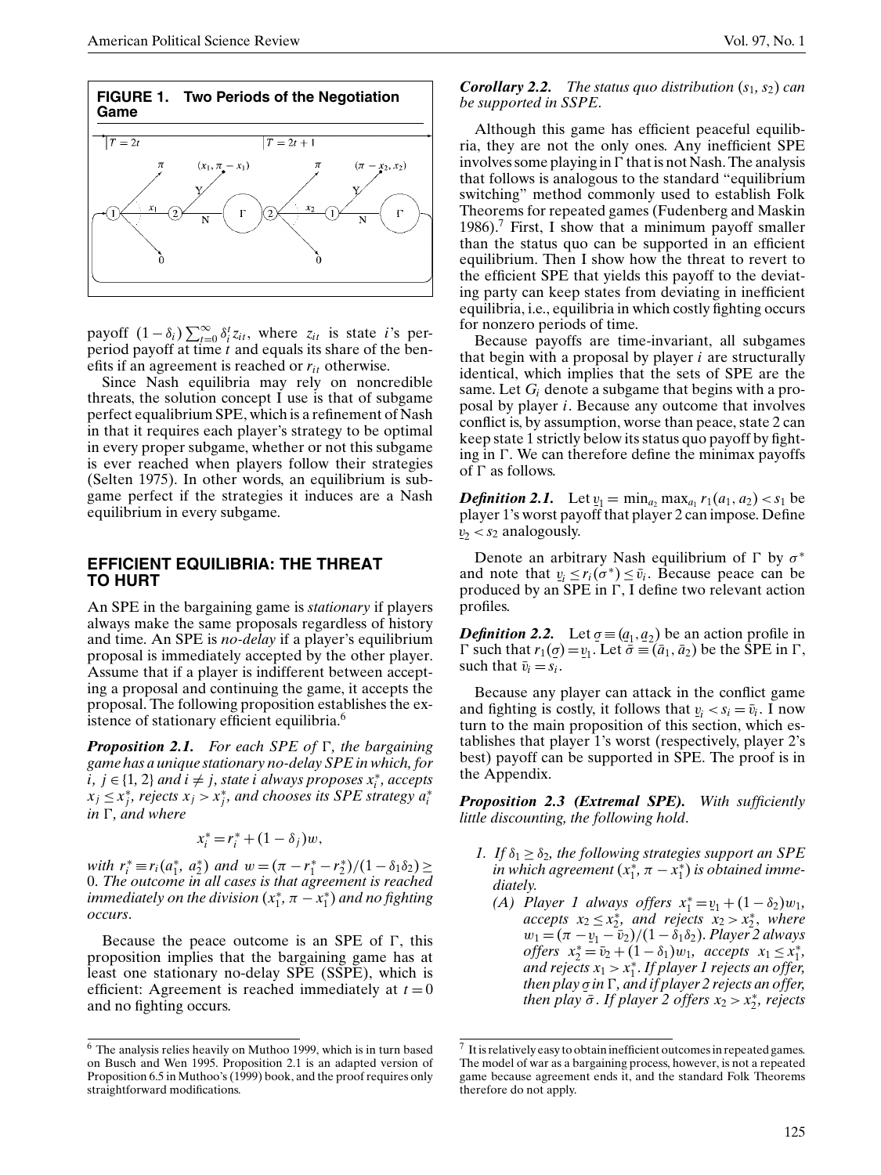

payoff  $(1 - \delta_i) \sum_{i=0}^{\infty} \delta_i^t z_{it}$ , where  $z_{it}$  is state *i*'s perperiod payoff at time *t* and equals its share of the benefits if an agreement is reached or *rit* otherwise.

Since Nash equilibria may rely on noncredible threats, the solution concept I use is that of subgame perfect equalibrium SPE, which is a refinement of Nash in that it requires each player's strategy to be optimal in every proper subgame, whether or not this subgame is ever reached when players follow their strategies (Selten 1975). In other words, an equilibrium is subgame perfect if the strategies it induces are a Nash equilibrium in every subgame.

#### **EFFICIENT EQUILIBRIA: THE THREAT TO HURT**

An SPE in the bargaining game is *stationary* if players always make the same proposals regardless of history and time. An SPE is *no-delay* if a player's equilibrium proposal is immediately accepted by the other player. Assume that if a player is indifferent between accepting a proposal and continuing the game, it accepts the proposal. The following proposition establishes the existence of stationary efficient equilibria.<sup>6</sup>

*Proposition 2.1. For each SPE of*  $\Gamma$ *, the bargaining game has a unique stationary no-delay SPE in which, for i*, *j* ∈ {1, 2} *and i*  $\neq$  *j*, *state i always proposes*  $x_i^*$ *, accepts*  $f(x_j \leq x_j^*$ , rejects  $x_j > x_j^*$ , and chooses its SPE strategy  $a_i^*$  $in \Gamma$ *, and where* 

$$
x_i^* = r_i^* + (1 - \delta_j)w,
$$

*with*  $r_i^* \equiv r_i(a_1^*, a_2^*)$  *and*  $w = (\pi - r_1^* - r_2^*)/(1 - \delta_1 \delta_2) \ge$ 0. *The outcome in all cases is that agreement is reached immediately on the division*  $(x_1^*, \pi - x_1^*)$  *and no fighting occurs*.

Because the peace outcome is an SPE of  $\Gamma$ , this proposition implies that the bargaining game has at least one stationary no-delay SPE (SSPE), which is efficient: Agreement is reached immediately at  $t = 0$ and no fighting occurs.

#### *Corollary 2.2. The status quo distribution*  $(s_1, s_2)$  *can be supported in SSPE*.

Although this game has efficient peaceful equilibria, they are not the only ones. Any inefficient SPE involves some playing in  $\Gamma$  that is not Nash. The analysis that follows is analogous to the standard "equilibrium switching" method commonly used to establish Folk Theorems for repeated games (Fudenberg and Maskin 1986).7 First, I show that a minimum payoff smaller than the status quo can be supported in an efficient equilibrium. Then I show how the threat to revert to the efficient SPE that yields this payoff to the deviating party can keep states from deviating in inefficient equilibria, i.e., equilibria in which costly fighting occurs for nonzero periods of time.

Because payoffs are time-invariant, all subgames that begin with a proposal by player *i* are structurally identical, which implies that the sets of SPE are the same. Let *Gi* denote a subgame that begins with a proposal by player *i*. Because any outcome that involves conflict is, by assumption, worse than peace, state 2 can keep state 1 strictly below its status quo payoff by fighting in  $\Gamma$ . We can therefore define the minimax payoffs of  $\Gamma$  as follows.

*Definition 2.1.* Let  $v_1 = \min_{a_2} \max_{a_1} r_1(a_1, a_2) < s_1$  be player 1's worst payoff that player 2 can impose. Define  $v_2 < s_2$  analogously.

Denote an arbitrary Nash equilibrium of  $\Gamma$  by  $\sigma^*$ and note that  $v_i \leq r_i(\sigma^*) \leq \bar{v}_i$ . Because peace can be produced by an SPE in  $\Gamma$ , I define two relevant action profiles.

*Definition 2.2.* Let  $\sigma = (a_1, a_2)$  be an action profile in  $\Gamma$  such that  $r_1(\sigma) = v_1$ . Let  $\bar{\sigma} \equiv (\bar{a}_1, \bar{a}_2)$  be the SPE in  $\Gamma$ , such that  $\bar{v}_i = s_i$ .

Because any player can attack in the conflict game and fighting is costly, it follows that  $v_i < s_i = \overline{v}_i$ . I now turn to the main proposition of this section, which establishes that player 1's worst (respectively, player 2's best) payoff can be supported in SPE. The proof is in the Appendix.

*Proposition 2.3 (Extremal SPE). With sufficiently little discounting, the following hold*.

- *1. If*  $\delta_1 \geq \delta_2$ , the following strategies support an SPE *in which agreement*  $(x_1^*, \pi - x_1^*)$  *is obtained immediately.*
	- *(A) Player 1 always offers*  $x_1^* = y_1 + (1 \delta_2)w_1$ , *accepts*  $x_2 \le x_2^*$ , *and rejects*  $x_2 > x_2^*$ , *where*  $w_1 = (\pi - v_1 - \bar{v}_2)/(1 - \delta_1 \delta_2)$ . *Player 2 always*  $\text{of}$ *fers*  $x_2^* = \bar{v}_2 + (1 - \delta_1)w_1,$  accepts  $x_1 \leq x_1^*$ , *and rejects x*<sup>1</sup> > *x*<sup>∗</sup> <sup>1</sup> . *If player 1 rejects an offer, then play* σ *in , and if player 2 rejects an offer, then play*  $\bar{\sigma}$ . If player 2 offers  $x_2 > x_2^*$ , rejects

 $6$  The analysis relies heavily on Muthoo 1999, which is in turn based on Busch and Wen 1995. Proposition 2.1 is an adapted version of Proposition 6.5 in Muthoo's (1999) book, and the proof requires only straightforward modifications.

<sup>7</sup> It is relatively easy to obtain inefficient outcomes in repeated games. The model of war as a bargaining process, however, is not a repeated game because agreement ends it, and the standard Folk Theorems therefore do not apply.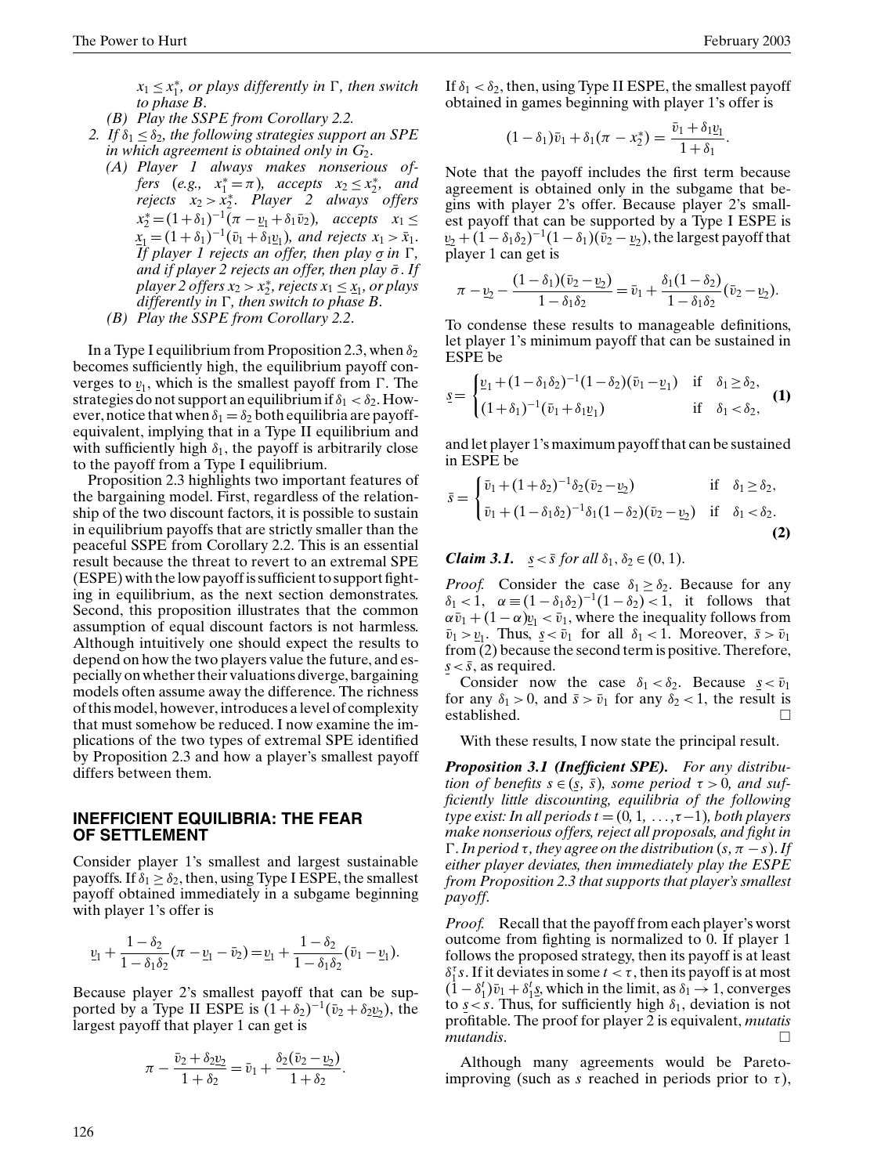$x_1 \leq x_1^*$ , or plays differently in  $\Gamma$ , then switch *to phase B*.

- *(B) Play the SSPE from Corollary 2.2.*
- *2. If*  $\delta_1 \leq \delta_2$ *, the following strategies support an SPE in which agreement is obtained only in*  $G_2$ .
	- *(A) Player 1 always makes nonserious offers* (*e.g.*,  $x_1^* = \pi$ ), *accepts*  $x_2 \le x_2^*$ , *and rejects x*<sup>2</sup> > *x*<sup>∗</sup> <sup>2</sup> . *Player 2 always offers*  $x_2^* = (1+\delta_1)^{-1}(\pi - \underline{v}_1 + \delta_1 \bar{v}_2)$ *, accepts*  $x_1 \leq$  $x_1 = (1 + \delta_1)^{-1}(\bar{v}_1 + \delta_1 \underline{v}_1)$ *, and rejects*  $x_1 > \bar{x}_1$ . *If player 1 rejects an offer, then play*  $\sigma$  *in*  $\Gamma$ *, and if player 2 rejects an offer, then play*  $\bar{\sigma}$ *. If*  $player 2$  *offers*  $x_2 > x_2^*$ , *rejects*  $x_1 \leq x_1$ , *or plays*  $d$ *ifferently in*  $\Gamma$ *, then switch to phase B.*
	- *(B) Play the SSPE from Corollary 2.2*.

In a Type I equilibrium from Proposition 2.3, when  $\delta_2$ becomes sufficiently high, the equilibrium payoff converges to  $v_1$ , which is the smallest payoff from  $\Gamma$ . The strategies do not support an equilibrium if  $\delta_1 < \delta_2$ . However, notice that when  $\delta_1 = \delta_2$  both equilibria are payoffequivalent, implying that in a Type II equilibrium and with sufficiently high  $\delta_1$ , the payoff is arbitrarily close to the payoff from a Type I equilibrium.

Proposition 2.3 highlights two important features of the bargaining model. First, regardless of the relationship of the two discount factors, it is possible to sustain in equilibrium payoffs that are strictly smaller than the peaceful SSPE from Corollary 2.2. This is an essential result because the threat to revert to an extremal SPE (ESPE) with the low payoff is sufficient to support fighting in equilibrium, as the next section demonstrates. Second, this proposition illustrates that the common assumption of equal discount factors is not harmless. Although intuitively one should expect the results to depend on how the two players value the future, and especially on whether their valuations diverge, bargaining models often assume away the difference. The richness of this model, however, introduces a level of complexity that must somehow be reduced. I now examine the implications of the two types of extremal SPE identified by Proposition 2.3 and how a player's smallest payoff differs between them.

#### **INEFFICIENT EQUILIBRIA: THE FEAR OF SETTLEMENT**

Consider player 1's smallest and largest sustainable payoffs. If  $\delta_1 \geq \delta_2$ , then, using Type I ESPE, the smallest payoff obtained immediately in a subgame beginning with player 1's offer is

$$
\underline{v}_1+\frac{1-\delta_2}{1-\delta_1\delta_2}(\pi-\underline{v}_1-\bar{v}_2)=\underline{v}_1+\frac{1-\delta_2}{1-\delta_1\delta_2}(\bar{v}_1-\underline{v}_1).
$$

Because player 2's smallest payoff that can be supported by a Type II ESPE is  $(1 + \delta_2)^{-1}(\bar{v}_2 + \delta_2 v_2)$ , the largest payoff that player 1 can get is

$$
\pi - \frac{\bar{v}_2 + \delta_2 \underline{v}_2}{1 + \delta_2} = \bar{v}_1 + \frac{\delta_2(\bar{v}_2 - \underline{v}_2)}{1 + \delta_2}.
$$

If  $\delta_1 < \delta_2$ , then, using Type II ESPE, the smallest payoff obtained in games beginning with player 1's offer is

$$
(1 - \delta_1)\bar{v}_1 + \delta_1(\pi - x_2^*) = \frac{\bar{v}_1 + \delta_1 \underline{v}_1}{1 + \delta_1}.
$$

Note that the payoff includes the first term because agreement is obtained only in the subgame that begins with player 2's offer. Because player 2's smallest payoff that can be supported by a Type I ESPE is  $v_2 + (1 - \delta_1 \delta_2)^{-1} (1 - \delta_1)(\bar{v}_2 - v_2)$ , the largest payoff that player 1 can get is

$$
\pi - \underline{v}_2 - \frac{(1 - \delta_1)(\bar{v}_2 - \underline{v}_2)}{1 - \delta_1 \delta_2} = \bar{v}_1 + \frac{\delta_1(1 - \delta_2)}{1 - \delta_1 \delta_2} (\bar{v}_2 - \underline{v}_2).
$$

To condense these results to manageable definitions, let player 1's minimum payoff that can be sustained in ESPE be

$$
\underline{s} = \begin{cases} \underline{v}_1 + (1 - \delta_1 \delta_2)^{-1} (1 - \delta_2) (\bar{v}_1 - \underline{v}_1) & \text{if } \delta_1 \ge \delta_2, \\ (1 + \delta_1)^{-1} (\bar{v}_1 + \delta_1 \underline{v}_1) & \text{if } \delta_1 < \delta_2, \end{cases}
$$
 (1)

and let player 1's maximum payoff that can be sustained in ESPE be

$$
\bar{s} = \begin{cases} \bar{v}_1 + (1 + \delta_2)^{-1} \delta_2 (\bar{v}_2 - \underline{v}_2) & \text{if } \delta_1 \ge \delta_2, \\ \bar{v}_1 + (1 - \delta_1 \delta_2)^{-1} \delta_1 (1 - \delta_2) (\bar{v}_2 - \underline{v}_2) & \text{if } \delta_1 < \delta_2. \end{cases}
$$
(2)

*Claim 3.1.*  $s < \overline{s}$  *for all*  $\delta_1, \delta_2 \in (0, 1)$ .

*Proof.* Consider the case  $\delta_1 \geq \delta_2$ . Because for any  $\delta_1$  < 1,  $\alpha \equiv (1 - \delta_1 \delta_2)^{-1} (1 - \delta_2)$  < 1, it follows that  $\alpha \bar{v}_1 + (1 - \alpha) \underline{v}_1 < \bar{v}_1$ , where the inequality follows from  $\bar{v}_1 > \underline{v}_1$ . Thus,  $s < \bar{v}_1$  for all  $\delta_1 < 1$ . Moreover,  $\bar{s} > \bar{v}_1$ from (2) because the second term is positive. Therefore,  $s < \bar{s}$ , as required.

Consider now the case  $\delta_1 < \delta_2$ . Because  $s < \bar{v}_1$ for any  $\delta_1 > 0$ , and  $\bar{s} > \bar{v}_1$  for any  $\delta_2 < 1$ , the result is established.

With these results, I now state the principal result.

*Proposition 3.1 (Inefficient SPE). For any distribution of benefits*  $s \in (s, \bar{s})$ *, some period*  $\tau > 0$ *, and sufficiently little discounting, equilibria of the following type exist: In all periods t* =  $(0, 1, \ldots, \tau-1)$ *, both players make nonserious offers, reject all proposals, and fight in*  $\Gamma$ *. In period*  $\tau$ *, they agree on the distribution*  $(s, \pi - s)$ *. If either player deviates, then immediately play the ESPE from Proposition 2.3 that supports that player's smallest payoff*.

*Proof.* Recall that the payoff from each player's worst outcome from fighting is normalized to 0. If player 1 follows the proposed strategy, then its payoff is at least  $\delta_1^{\tau}$ s. If it deviates in some  $t < \tau$ , then its payoff is at most  $(1 - \delta_1^t)\bar{v}_1 + \delta_1^t s$ , which in the limit, as  $\delta_1 \rightarrow 1$ , converges to  $s < s$ . Thus, for sufficiently high  $\delta_1$ , deviation is not profitable. The proof for player 2 is equivalent, *mutatis mutandis*.

Although many agreements would be Paretoimproving (such as *s* reached in periods prior to  $\tau$ ),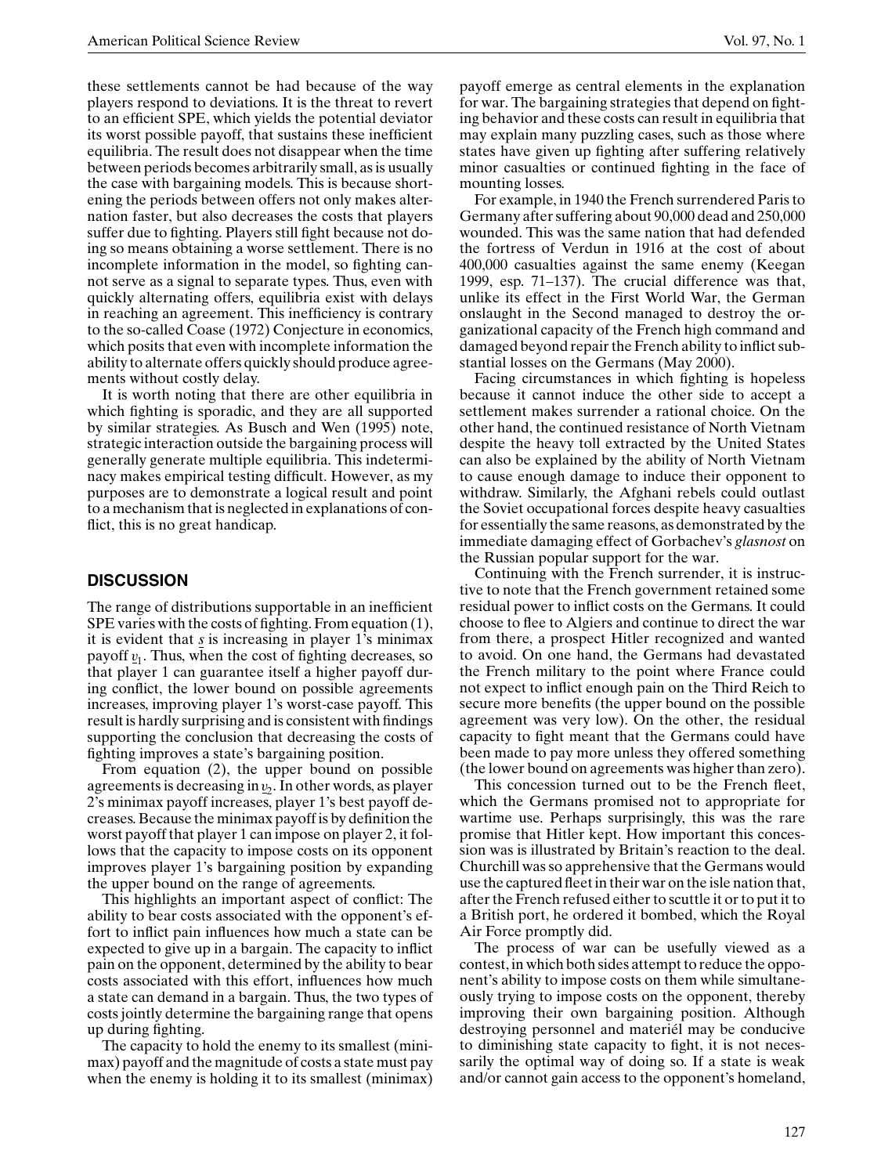these settlements cannot be had because of the way players respond to deviations. It is the threat to revert to an efficient SPE, which yields the potential deviator its worst possible payoff, that sustains these inefficient equilibria. The result does not disappear when the time between periods becomes arbitrarily small, as is usually the case with bargaining models. This is because shortening the periods between offers not only makes alternation faster, but also decreases the costs that players suffer due to fighting. Players still fight because not doing so means obtaining a worse settlement. There is no incomplete information in the model, so fighting cannot serve as a signal to separate types. Thus, even with quickly alternating offers, equilibria exist with delays in reaching an agreement. This inefficiency is contrary to the so-called Coase (1972) Conjecture in economics, which posits that even with incomplete information the ability to alternate offers quickly should produce agreements without costly delay.

It is worth noting that there are other equilibria in which fighting is sporadic, and they are all supported by similar strategies. As Busch and Wen (1995) note, strategic interaction outside the bargaining process will generally generate multiple equilibria. This indeterminacy makes empirical testing difficult. However, as my purposes are to demonstrate a logical result and point to a mechanism that is neglected in explanations of conflict, this is no great handicap.

### **DISCUSSION**

The range of distributions supportable in an inefficient SPE varies with the costs of fighting. From equation (1), it is evident that *s* is increasing in player 1's minimax payoff  $v_1$ . Thus, when the cost of fighting decreases, so that player 1 can guarantee itself a higher payoff during conflict, the lower bound on possible agreements increases, improving player 1's worst-case payoff. This result is hardly surprising and is consistent with findings supporting the conclusion that decreasing the costs of fighting improves a state's bargaining position.

From equation (2), the upper bound on possible agreements is decreasing in  $v_2$ . In other words, as player 2's minimax payoff increases, player 1's best payoff decreases. Because the minimax payoff is by definition the worst payoff that player 1 can impose on player 2, it follows that the capacity to impose costs on its opponent improves player 1's bargaining position by expanding the upper bound on the range of agreements.

This highlights an important aspect of conflict: The ability to bear costs associated with the opponent's effort to inflict pain influences how much a state can be expected to give up in a bargain. The capacity to inflict pain on the opponent, determined by the ability to bear costs associated with this effort, influences how much a state can demand in a bargain. Thus, the two types of costs jointly determine the bargaining range that opens up during fighting.

The capacity to hold the enemy to its smallest (minimax) payoff and the magnitude of costs a state must pay when the enemy is holding it to its smallest (minimax) payoff emerge as central elements in the explanation for war. The bargaining strategies that depend on fighting behavior and these costs can result in equilibria that may explain many puzzling cases, such as those where states have given up fighting after suffering relatively minor casualties or continued fighting in the face of mounting losses.

For example, in 1940 the French surrendered Paris to Germany after suffering about 90,000 dead and 250,000 wounded. This was the same nation that had defended the fortress of Verdun in 1916 at the cost of about 400,000 casualties against the same enemy (Keegan 1999, esp. 71–137). The crucial difference was that, unlike its effect in the First World War, the German onslaught in the Second managed to destroy the organizational capacity of the French high command and damaged beyond repair the French ability to inflict substantial losses on the Germans (May 2000).

Facing circumstances in which fighting is hopeless because it cannot induce the other side to accept a settlement makes surrender a rational choice. On the other hand, the continued resistance of North Vietnam despite the heavy toll extracted by the United States can also be explained by the ability of North Vietnam to cause enough damage to induce their opponent to withdraw. Similarly, the Afghani rebels could outlast the Soviet occupational forces despite heavy casualties for essentially the same reasons, as demonstrated by the immediate damaging effect of Gorbachev's *glasnost* on the Russian popular support for the war.

Continuing with the French surrender, it is instructive to note that the French government retained some residual power to inflict costs on the Germans. It could choose to flee to Algiers and continue to direct the war from there, a prospect Hitler recognized and wanted to avoid. On one hand, the Germans had devastated the French military to the point where France could not expect to inflict enough pain on the Third Reich to secure more benefits (the upper bound on the possible agreement was very low). On the other, the residual capacity to fight meant that the Germans could have been made to pay more unless they offered something (the lower bound on agreements was higher than zero).

This concession turned out to be the French fleet, which the Germans promised not to appropriate for wartime use. Perhaps surprisingly, this was the rare promise that Hitler kept. How important this concession was is illustrated by Britain's reaction to the deal. Churchill was so apprehensive that the Germans would use the captured fleet in their war on the isle nation that, after the French refused either to scuttle it or to put it to a British port, he ordered it bombed, which the Royal Air Force promptly did.

The process of war can be usefully viewed as a contest, in which both sides attempt to reduce the opponent's ability to impose costs on them while simultaneously trying to impose costs on the opponent, thereby improving their own bargaining position. Although destroying personnel and materiél may be conducive to diminishing state capacity to fight, it is not necessarily the optimal way of doing so. If a state is weak and/or cannot gain access to the opponent's homeland,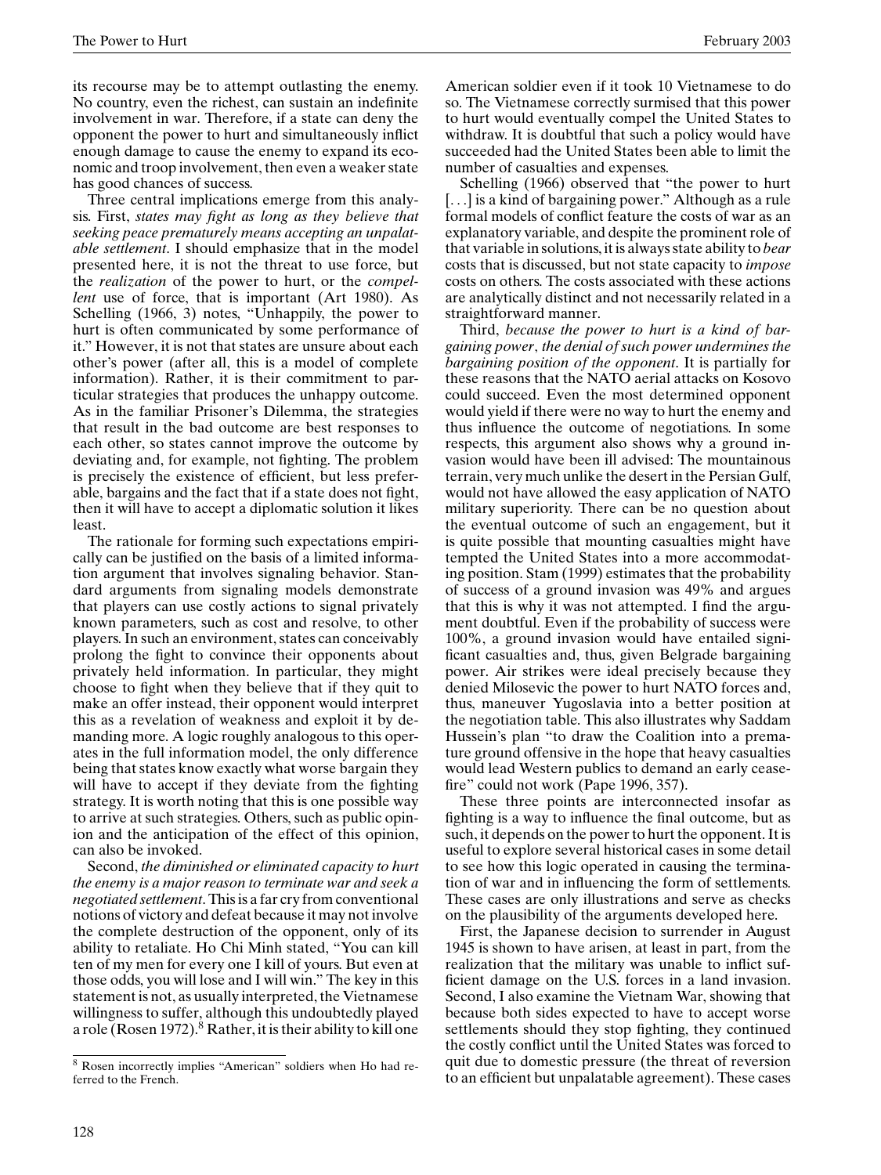its recourse may be to attempt outlasting the enemy. No country, even the richest, can sustain an indefinite involvement in war. Therefore, if a state can deny the opponent the power to hurt and simultaneously inflict enough damage to cause the enemy to expand its economic and troop involvement, then even a weaker state has good chances of success.

Three central implications emerge from this analysis. First, *states may fight as long as they believe that seeking peace prematurely means accepting an unpalatable settlement*. I should emphasize that in the model presented here, it is not the threat to use force, but the *realization* of the power to hurt, or the *compellent* use of force, that is important (Art 1980). As Schelling (1966, 3) notes, "Unhappily, the power to hurt is often communicated by some performance of it." However, it is not that states are unsure about each other's power (after all, this is a model of complete information). Rather, it is their commitment to particular strategies that produces the unhappy outcome. As in the familiar Prisoner's Dilemma, the strategies that result in the bad outcome are best responses to each other, so states cannot improve the outcome by deviating and, for example, not fighting. The problem is precisely the existence of efficient, but less preferable, bargains and the fact that if a state does not fight, then it will have to accept a diplomatic solution it likes least.

The rationale for forming such expectations empirically can be justified on the basis of a limited information argument that involves signaling behavior. Standard arguments from signaling models demonstrate that players can use costly actions to signal privately known parameters, such as cost and resolve, to other players. In such an environment, states can conceivably prolong the fight to convince their opponents about privately held information. In particular, they might choose to fight when they believe that if they quit to make an offer instead, their opponent would interpret this as a revelation of weakness and exploit it by demanding more. A logic roughly analogous to this operates in the full information model, the only difference being that states know exactly what worse bargain they will have to accept if they deviate from the fighting strategy. It is worth noting that this is one possible way to arrive at such strategies. Others, such as public opinion and the anticipation of the effect of this opinion, can also be invoked.

Second, *the diminished or eliminated capacity to hurt the enemy is a major reason to terminate war and seek a negotiated settlement*. This is a far cry from conventional notions of victory and defeat because it may not involve the complete destruction of the opponent, only of its ability to retaliate. Ho Chi Minh stated, "You can kill ten of my men for every one I kill of yours. But even at those odds, you will lose and I will win." The key in this statement is not, as usually interpreted, the Vietnamese willingness to suffer, although this undoubtedly played a role (Rosen 1972).<sup>8</sup> Rather, it is their ability to kill one

American soldier even if it took 10 Vietnamese to do so. The Vietnamese correctly surmised that this power to hurt would eventually compel the United States to withdraw. It is doubtful that such a policy would have succeeded had the United States been able to limit the number of casualties and expenses.

Schelling (1966) observed that "the power to hurt [...] is a kind of bargaining power." Although as a rule formal models of conflict feature the costs of war as an explanatory variable, and despite the prominent role of that variable in solutions, it is always state ability to *bear* costs that is discussed, but not state capacity to *impose* costs on others. The costs associated with these actions are analytically distinct and not necessarily related in a straightforward manner.

Third, *because the power to hurt is a kind of bargaining power*, *the denial of such power undermines the bargaining position of the opponent*. It is partially for these reasons that the NATO aerial attacks on Kosovo could succeed. Even the most determined opponent would yield if there were no way to hurt the enemy and thus influence the outcome of negotiations. In some respects, this argument also shows why a ground invasion would have been ill advised: The mountainous terrain, very much unlike the desert in the Persian Gulf, would not have allowed the easy application of NATO military superiority. There can be no question about the eventual outcome of such an engagement, but it is quite possible that mounting casualties might have tempted the United States into a more accommodating position. Stam (1999) estimates that the probability of success of a ground invasion was 49% and argues that this is why it was not attempted. I find the argument doubtful. Even if the probability of success were 100%, a ground invasion would have entailed significant casualties and, thus, given Belgrade bargaining power. Air strikes were ideal precisely because they denied Milosevic the power to hurt NATO forces and, thus, maneuver Yugoslavia into a better position at the negotiation table. This also illustrates why Saddam Hussein's plan "to draw the Coalition into a premature ground offensive in the hope that heavy casualties would lead Western publics to demand an early ceasefire" could not work (Pape 1996, 357).

These three points are interconnected insofar as fighting is a way to influence the final outcome, but as such, it depends on the power to hurt the opponent. It is useful to explore several historical cases in some detail to see how this logic operated in causing the termination of war and in influencing the form of settlements. These cases are only illustrations and serve as checks on the plausibility of the arguments developed here.

First, the Japanese decision to surrender in August 1945 is shown to have arisen, at least in part, from the realization that the military was unable to inflict sufficient damage on the U.S. forces in a land invasion. Second, I also examine the Vietnam War, showing that because both sides expected to have to accept worse settlements should they stop fighting, they continued the costly conflict until the United States was forced to quit due to domestic pressure (the threat of reversion to an efficient but unpalatable agreement). These cases

<sup>8</sup> Rosen incorrectly implies "American" soldiers when Ho had referred to the French.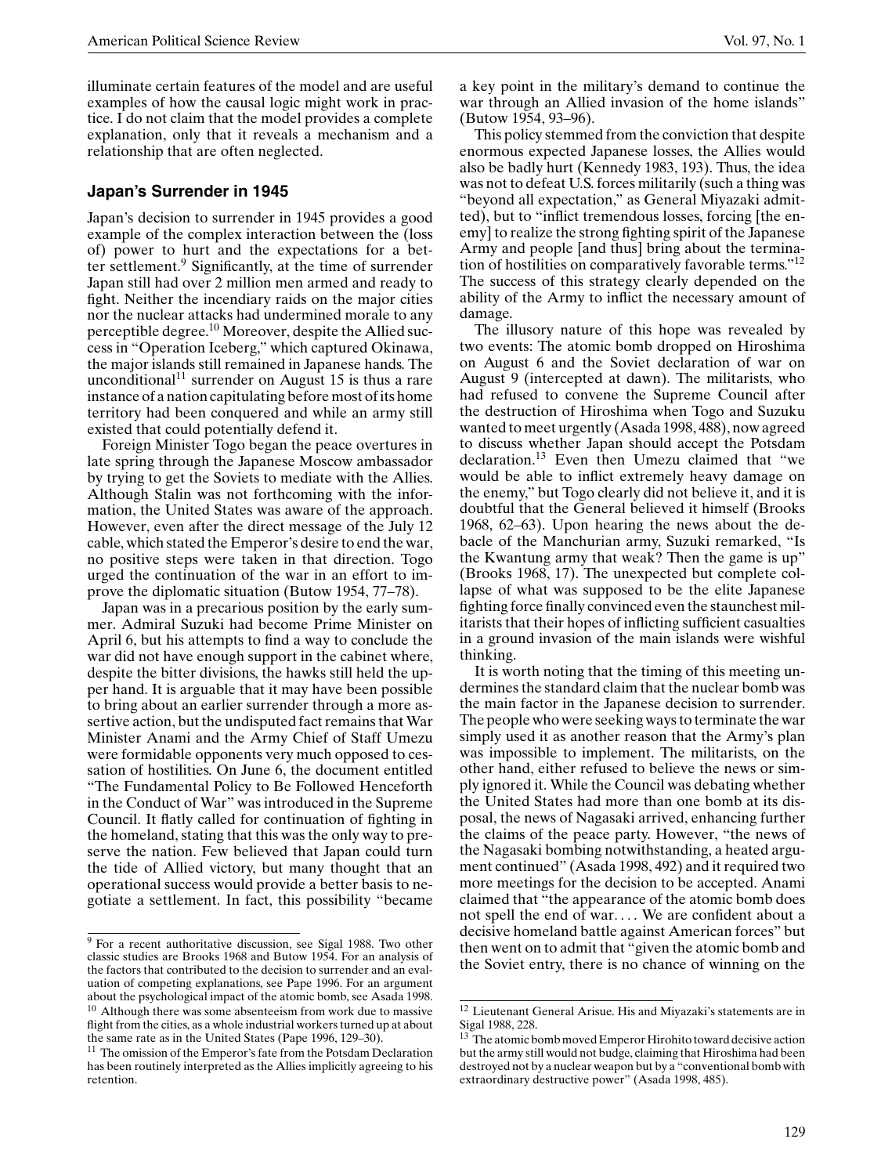illuminate certain features of the model and are useful examples of how the causal logic might work in practice. I do not claim that the model provides a complete explanation, only that it reveals a mechanism and a relationship that are often neglected.

#### **Japan's Surrender in 1945**

Japan's decision to surrender in 1945 provides a good example of the complex interaction between the (loss of) power to hurt and the expectations for a better settlement.<sup>9</sup> Significantly, at the time of surrender Japan still had over 2 million men armed and ready to fight. Neither the incendiary raids on the major cities nor the nuclear attacks had undermined morale to any perceptible degree.<sup>10</sup> Moreover, despite the Allied success in "Operation Iceberg," which captured Okinawa, the major islands still remained in Japanese hands. The unconditional<sup>11</sup> surrender on August 15 is thus a rare instance of a nation capitulating before most of its home territory had been conquered and while an army still existed that could potentially defend it.

Foreign Minister Togo began the peace overtures in late spring through the Japanese Moscow ambassador by trying to get the Soviets to mediate with the Allies. Although Stalin was not forthcoming with the information, the United States was aware of the approach. However, even after the direct message of the July 12 cable, which stated the Emperor's desire to end the war, no positive steps were taken in that direction. Togo urged the continuation of the war in an effort to improve the diplomatic situation (Butow 1954, 77–78).

Japan was in a precarious position by the early summer. Admiral Suzuki had become Prime Minister on April 6, but his attempts to find a way to conclude the war did not have enough support in the cabinet where, despite the bitter divisions, the hawks still held the upper hand. It is arguable that it may have been possible to bring about an earlier surrender through a more assertive action, but the undisputed fact remains that War Minister Anami and the Army Chief of Staff Umezu were formidable opponents very much opposed to cessation of hostilities. On June 6, the document entitled "The Fundamental Policy to Be Followed Henceforth in the Conduct of War" was introduced in the Supreme Council. It flatly called for continuation of fighting in the homeland, stating that this was the only way to preserve the nation. Few believed that Japan could turn the tide of Allied victory, but many thought that an operational success would provide a better basis to negotiate a settlement. In fact, this possibility "became a key point in the military's demand to continue the war through an Allied invasion of the home islands" (Butow 1954, 93–96).

This policy stemmed from the conviction that despite enormous expected Japanese losses, the Allies would also be badly hurt (Kennedy 1983, 193). Thus, the idea was not to defeat U.S. forces militarily (such a thing was "beyond all expectation," as General Miyazaki admitted), but to "inflict tremendous losses, forcing [the enemy] to realize the strong fighting spirit of the Japanese Army and people [and thus] bring about the termination of hostilities on comparatively favorable terms."<sup>12</sup> The success of this strategy clearly depended on the ability of the Army to inflict the necessary amount of damage.

The illusory nature of this hope was revealed by two events: The atomic bomb dropped on Hiroshima on August 6 and the Soviet declaration of war on August 9 (intercepted at dawn). The militarists, who had refused to convene the Supreme Council after the destruction of Hiroshima when Togo and Suzuku wanted to meet urgently (Asada 1998, 488), now agreed to discuss whether Japan should accept the Potsdam declaration.<sup>13</sup> Even then Umezu claimed that "we would be able to inflict extremely heavy damage on the enemy," but Togo clearly did not believe it, and it is doubtful that the General believed it himself (Brooks 1968, 62–63). Upon hearing the news about the debacle of the Manchurian army, Suzuki remarked, "Is the Kwantung army that weak? Then the game is up" (Brooks 1968, 17). The unexpected but complete collapse of what was supposed to be the elite Japanese fighting force finally convinced even the staunchest militarists that their hopes of inflicting sufficient casualties in a ground invasion of the main islands were wishful thinking.

It is worth noting that the timing of this meeting undermines the standard claim that the nuclear bomb was the main factor in the Japanese decision to surrender. The people who were seeking ways to terminate the war simply used it as another reason that the Army's plan was impossible to implement. The militarists, on the other hand, either refused to believe the news or simply ignored it. While the Council was debating whether the United States had more than one bomb at its disposal, the news of Nagasaki arrived, enhancing further the claims of the peace party. However, "the news of the Nagasaki bombing notwithstanding, a heated argument continued" (Asada 1998, 492) and it required two more meetings for the decision to be accepted. Anami claimed that "the appearance of the atomic bomb does not spell the end of war... . We are confident about a decisive homeland battle against American forces" but then went on to admit that "given the atomic bomb and the Soviet entry, there is no chance of winning on the

<sup>9</sup> For a recent authoritative discussion, see Sigal 1988. Two other classic studies are Brooks 1968 and Butow 1954. For an analysis of the factors that contributed to the decision to surrender and an evaluation of competing explanations, see Pape 1996. For an argument about the psychological impact of the atomic bomb, see Asada 1998.  $10$  Although there was some absenteeism from work due to massive flight from the cities, as a whole industrial workers turned up at about the same rate as in the United States (Pape 1996, 129–30).

 $^{11}$  The omission of the Emperor's fate from the Potsdam Declaration has been routinely interpreted as the Allies implicitly agreeing to his retention.

<sup>12</sup> Lieutenant General Arisue. His and Miyazaki's statements are in Sigal 1988, 228.

<sup>&</sup>lt;sup>13</sup> The atomic bomb moved Emperor Hirohito toward decisive action but the army still would not budge, claiming that Hiroshima had been destroyed not by a nuclear weapon but by a "conventional bomb with extraordinary destructive power" (Asada 1998, 485).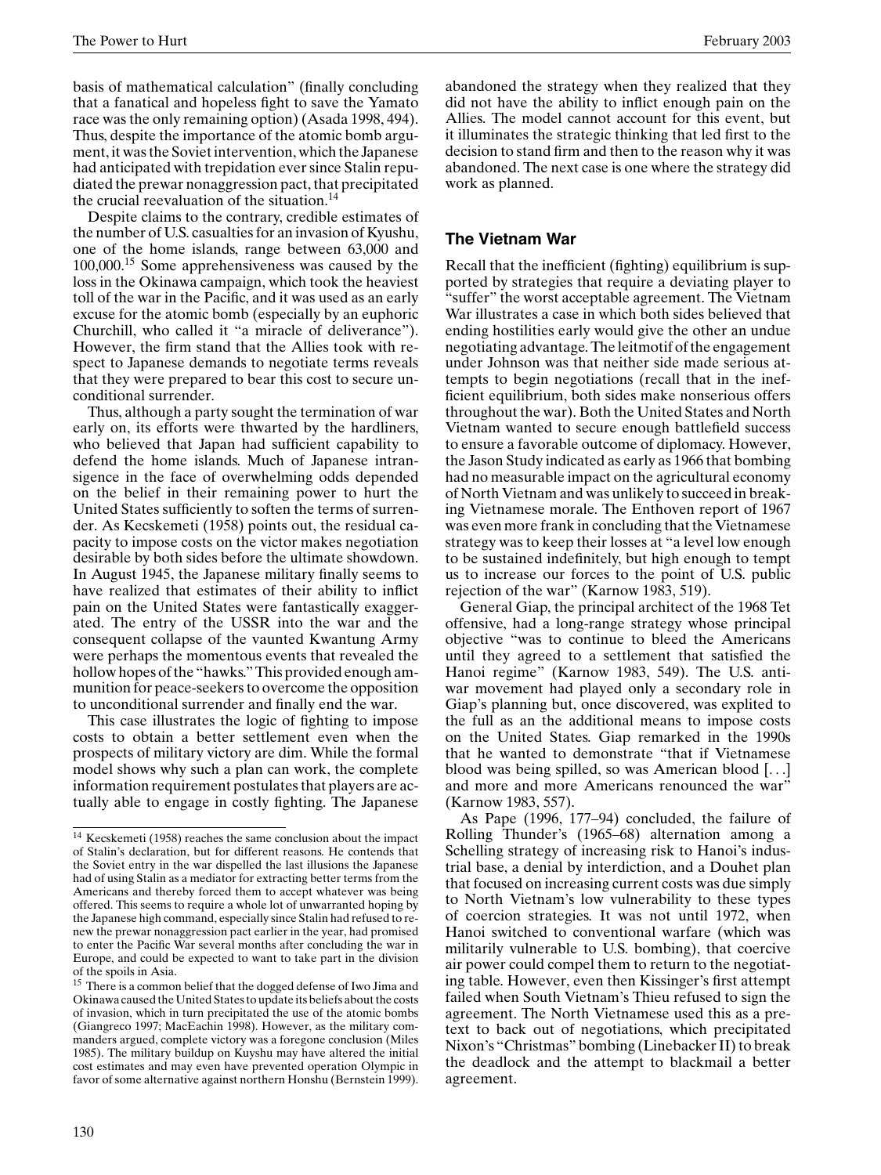basis of mathematical calculation" (finally concluding that a fanatical and hopeless fight to save the Yamato race was the only remaining option) (Asada 1998, 494). Thus, despite the importance of the atomic bomb argument, it was the Soviet intervention, which the Japanese had anticipated with trepidation ever since Stalin repudiated the prewar nonaggression pact, that precipitated the crucial reevaluation of the situation.<sup>14</sup>

Despite claims to the contrary, credible estimates of the number of U.S. casualties for an invasion of Kyushu, one of the home islands, range between 63,000 and 100,000.<sup>15</sup> Some apprehensiveness was caused by the loss in the Okinawa campaign, which took the heaviest toll of the war in the Pacific, and it was used as an early excuse for the atomic bomb (especially by an euphoric Churchill, who called it "a miracle of deliverance"). However, the firm stand that the Allies took with respect to Japanese demands to negotiate terms reveals that they were prepared to bear this cost to secure unconditional surrender.

Thus, although a party sought the termination of war early on, its efforts were thwarted by the hardliners, who believed that Japan had sufficient capability to defend the home islands. Much of Japanese intransigence in the face of overwhelming odds depended on the belief in their remaining power to hurt the United States sufficiently to soften the terms of surrender. As Kecskemeti (1958) points out, the residual capacity to impose costs on the victor makes negotiation desirable by both sides before the ultimate showdown. In August 1945, the Japanese military finally seems to have realized that estimates of their ability to inflict pain on the United States were fantastically exaggerated. The entry of the USSR into the war and the consequent collapse of the vaunted Kwantung Army were perhaps the momentous events that revealed the hollow hopes of the "hawks."This provided enough ammunition for peace-seekers to overcome the opposition to unconditional surrender and finally end the war.

This case illustrates the logic of fighting to impose costs to obtain a better settlement even when the prospects of military victory are dim. While the formal model shows why such a plan can work, the complete information requirement postulates that players are actually able to engage in costly fighting. The Japanese abandoned the strategy when they realized that they did not have the ability to inflict enough pain on the Allies. The model cannot account for this event, but it illuminates the strategic thinking that led first to the decision to stand firm and then to the reason why it was abandoned. The next case is one where the strategy did work as planned.

# **The Vietnam War**

Recall that the inefficient (fighting) equilibrium is supported by strategies that require a deviating player to "suffer" the worst acceptable agreement. The Vietnam War illustrates a case in which both sides believed that ending hostilities early would give the other an undue negotiating advantage. The leitmotif of the engagement under Johnson was that neither side made serious attempts to begin negotiations (recall that in the inefficient equilibrium, both sides make nonserious offers throughout the war). Both the United States and North Vietnam wanted to secure enough battlefield success to ensure a favorable outcome of diplomacy. However, the Jason Study indicated as early as 1966 that bombing had no measurable impact on the agricultural economy of North Vietnam and was unlikely to succeed in breaking Vietnamese morale. The Enthoven report of 1967 was even more frank in concluding that the Vietnamese strategy was to keep their losses at "a level low enough to be sustained indefinitely, but high enough to tempt us to increase our forces to the point of U.S. public rejection of the war" (Karnow 1983, 519).

General Giap, the principal architect of the 1968 Tet offensive, had a long-range strategy whose principal objective "was to continue to bleed the Americans until they agreed to a settlement that satisfied the Hanoi regime" (Karnow 1983, 549). The U.S. antiwar movement had played only a secondary role in Giap's planning but, once discovered, was explited to the full as an the additional means to impose costs on the United States. Giap remarked in the 1990s that he wanted to demonstrate "that if Vietnamese blood was being spilled, so was American blood [...] and more and more Americans renounced the war" (Karnow 1983, 557).

As Pape (1996, 177–94) concluded, the failure of Rolling Thunder's (1965–68) alternation among a Schelling strategy of increasing risk to Hanoi's industrial base, a denial by interdiction, and a Douhet plan that focused on increasing current costs was due simply to North Vietnam's low vulnerability to these types of coercion strategies. It was not until 1972, when Hanoi switched to conventional warfare (which was militarily vulnerable to U.S. bombing), that coercive air power could compel them to return to the negotiating table. However, even then Kissinger's first attempt failed when South Vietnam's Thieu refused to sign the agreement. The North Vietnamese used this as a pretext to back out of negotiations, which precipitated Nixon's "Christmas" bombing (Linebacker II) to break the deadlock and the attempt to blackmail a better agreement.

<sup>14</sup> Kecskemeti (1958) reaches the same conclusion about the impact of Stalin's declaration, but for different reasons. He contends that the Soviet entry in the war dispelled the last illusions the Japanese had of using Stalin as a mediator for extracting better terms from the Americans and thereby forced them to accept whatever was being offered. This seems to require a whole lot of unwarranted hoping by the Japanese high command, especially since Stalin had refused to renew the prewar nonaggression pact earlier in the year, had promised to enter the Pacific War several months after concluding the war in Europe, and could be expected to want to take part in the division of the spoils in Asia.

<sup>&</sup>lt;sup>15</sup> There is a common belief that the dogged defense of Iwo Jima and Okinawa caused the United States to update its beliefs about the costs of invasion, which in turn precipitated the use of the atomic bombs (Giangreco 1997; MacEachin 1998). However, as the military commanders argued, complete victory was a foregone conclusion (Miles 1985). The military buildup on Kuyshu may have altered the initial cost estimates and may even have prevented operation Olympic in favor of some alternative against northern Honshu (Bernstein 1999).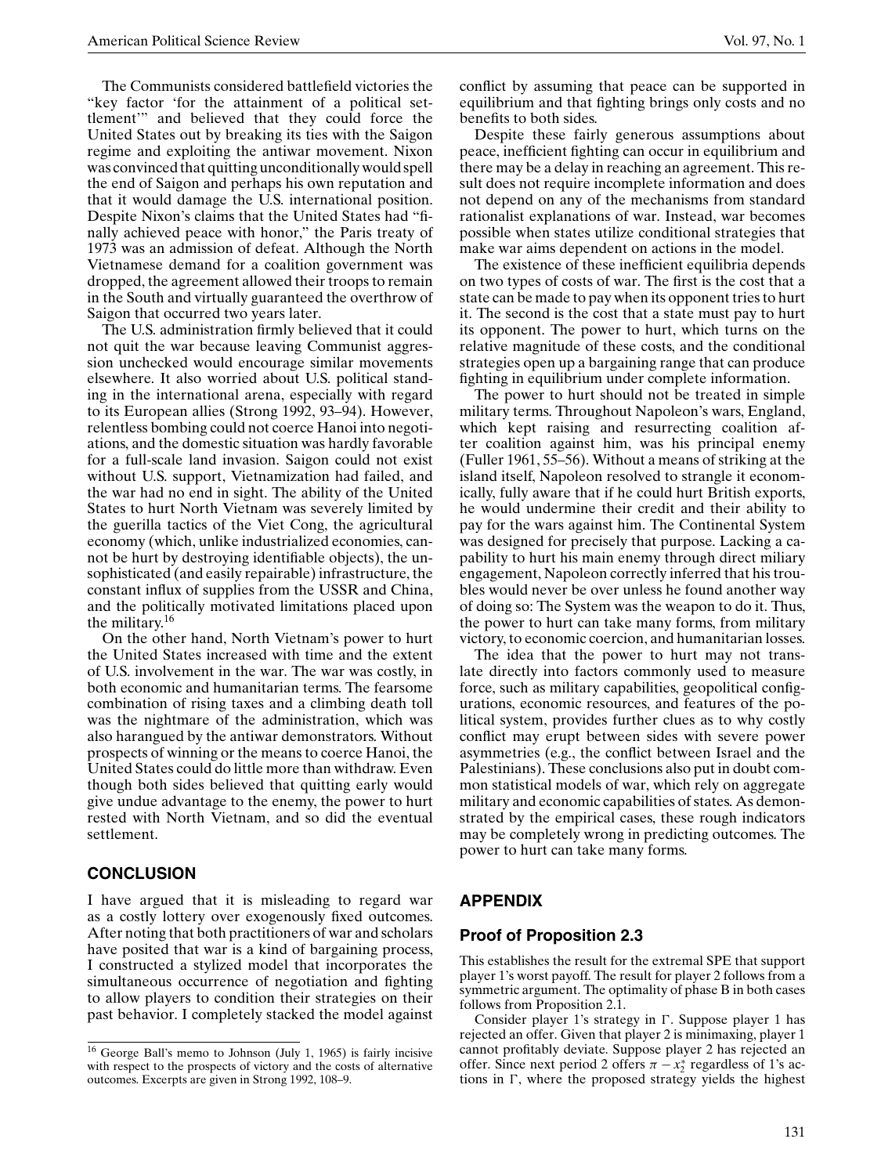The Communists considered battlefield victories the "key factor 'for the attainment of a political settlement'" and believed that they could force the United States out by breaking its ties with the Saigon regime and exploiting the antiwar movement. Nixon was convinced that quitting unconditionally would spell the end of Saigon and perhaps his own reputation and that it would damage the U.S. international position. Despite Nixon's claims that the United States had "finally achieved peace with honor," the Paris treaty of 1973 was an admission of defeat. Although the North Vietnamese demand for a coalition government was dropped, the agreement allowed their troops to remain in the South and virtually guaranteed the overthrow of Saigon that occurred two years later.

The U.S. administration firmly believed that it could not quit the war because leaving Communist aggression unchecked would encourage similar movements elsewhere. It also worried about U.S. political standing in the international arena, especially with regard to its European allies (Strong 1992, 93–94). However, relentless bombing could not coerce Hanoi into negotiations, and the domestic situation was hardly favorable for a full-scale land invasion. Saigon could not exist without U.S. support, Vietnamization had failed, and the war had no end in sight. The ability of the United States to hurt North Vietnam was severely limited by the guerilla tactics of the Viet Cong, the agricultural economy (which, unlike industrialized economies, cannot be hurt by destroying identifiable objects), the unsophisticated (and easily repairable) infrastructure, the constant influx of supplies from the USSR and China, and the politically motivated limitations placed upon the military.<sup>16</sup>

On the other hand, North Vietnam's power to hurt the United States increased with time and the extent of U.S. involvement in the war. The war was costly, in both economic and humanitarian terms. The fearsome combination of rising taxes and a climbing death toll was the nightmare of the administration, which was also harangued by the antiwar demonstrators. Without prospects of winning or the means to coerce Hanoi, the United States could do little more than withdraw. Even though both sides believed that quitting early would give undue advantage to the enemy, the power to hurt rested with North Vietnam, and so did the eventual settlement.

#### **CONCLUSION**

I have argued that it is misleading to regard war as a costly lottery over exogenously fixed outcomes. After noting that both practitioners of war and scholars have posited that war is a kind of bargaining process, I constructed a stylized model that incorporates the simultaneous occurrence of negotiation and fighting to allow players to condition their strategies on their past behavior. I completely stacked the model against

conflict by assuming that peace can be supported in equilibrium and that fighting brings only costs and no benefits to both sides.

Despite these fairly generous assumptions about peace, inefficient fighting can occur in equilibrium and there may be a delay in reaching an agreement. This result does not require incomplete information and does not depend on any of the mechanisms from standard rationalist explanations of war. Instead, war becomes possible when states utilize conditional strategies that make war aims dependent on actions in the model.

The existence of these inefficient equilibria depends on two types of costs of war. The first is the cost that a state can be made to pay when its opponent tries to hurt it. The second is the cost that a state must pay to hurt its opponent. The power to hurt, which turns on the relative magnitude of these costs, and the conditional strategies open up a bargaining range that can produce fighting in equilibrium under complete information.

The power to hurt should not be treated in simple military terms. Throughout Napoleon's wars, England, which kept raising and resurrecting coalition after coalition against him, was his principal enemy (Fuller 1961, 55–56). Without a means of striking at the island itself, Napoleon resolved to strangle it economically, fully aware that if he could hurt British exports, he would undermine their credit and their ability to pay for the wars against him. The Continental System was designed for precisely that purpose. Lacking a capability to hurt his main enemy through direct miliary engagement, Napoleon correctly inferred that his troubles would never be over unless he found another way of doing so: The System was the weapon to do it. Thus, the power to hurt can take many forms, from military victory, to economic coercion, and humanitarian losses.

The idea that the power to hurt may not translate directly into factors commonly used to measure force, such as military capabilities, geopolitical configurations, economic resources, and features of the political system, provides further clues as to why costly conflict may erupt between sides with severe power asymmetries (e.g., the conflict between Israel and the Palestinians). These conclusions also put in doubt common statistical models of war, which rely on aggregate military and economic capabilities of states. As demonstrated by the empirical cases, these rough indicators may be completely wrong in predicting outcomes. The power to hurt can take many forms.

## **APPENDIX**

#### **Proof of Proposition 2.3**

This establishes the result for the extremal SPE that support player 1's worst payoff. The result for player 2 follows from a symmetric argument. The optimality of phase B in both cases follows from Proposition 2.1.

Consider player 1's strategy in  $\Gamma$ . Suppose player 1 has rejected an offer. Given that player 2 is minimaxing, player 1 cannot profitably deviate. Suppose player 2 has rejected an offer. Since next period 2 offers  $\pi - x_2^*$  regardless of 1's actions in  $\Gamma$ , where the proposed strategy yields the highest

<sup>16</sup> George Ball's memo to Johnson (July 1, 1965) is fairly incisive with respect to the prospects of victory and the costs of alternative outcomes. Excerpts are given in Strong 1992, 108–9.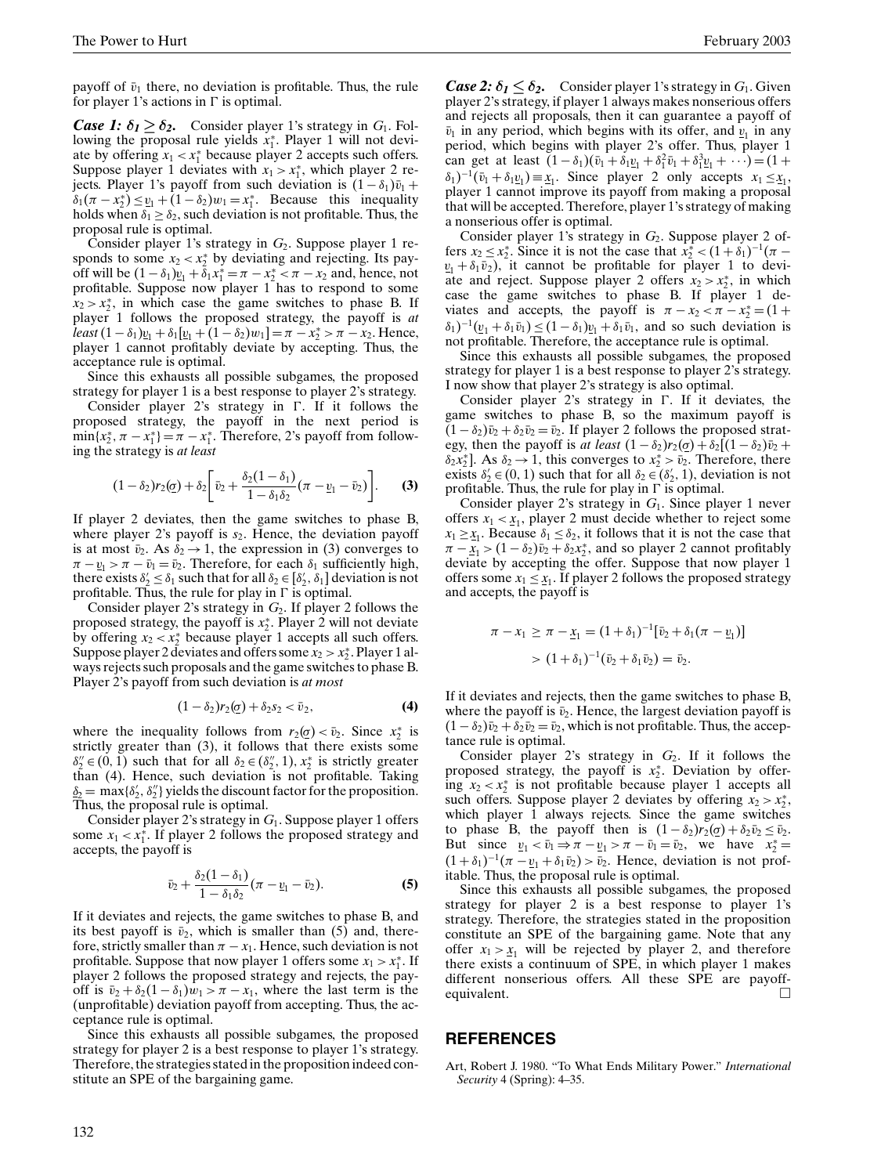payoff of  $\bar{v}_1$  there, no deviation is profitable. Thus, the rule for player 1's actions in  $\Gamma$  is optimal.

*Case 1:*  $\delta_1 \geq \delta_2$ . Consider player 1's strategy in  $G_1$ . Following the proposal rule yields *x*<sup>∗</sup> <sup>1</sup> . Player 1 will not deviate by offering  $x_1 < x_1^*$  because player 2 accepts such offers. Suppose player 1 deviates with  $x_1 > x_1^*$ , which player 2 rejects. Player 1's payoff from such deviation is  $(1 - \delta_1)\bar{v}_1$  +  $\delta_1(\pi - x_2^*) \leq \nu_1 + (1 - \delta_2) \nu_1 = x_1^*$ . Because this inequality holds when  $\delta_1 \geq \delta_2$ , such deviation is not profitable. Thus, the proposal rule is optimal.

Consider player 1's strategy in  $G_2$ . Suppose player 1 responds to some  $x_2 < x_2^*$  by deviating and rejecting. Its payoff will be  $(1 - \delta_1) \underline{v}_1 + \overline{\delta}_1 x_1^* = \pi - x_2^* < \pi - x_2$  and, hence, not profitable. Suppose now player 1 has to respond to some  $x_2 > x_2^*$ , in which case the game switches to phase B. If player 1 follows the proposed strategy, the payoff is *at*  $\hat{l}$ *east*  $(1 - \delta_1) \underline{v}_1 + \delta_1 [\underline{v}_1 + (1 - \delta_2) w_1] = \pi - x_2^* > \pi - x_2$ . Hence, player 1 cannot profitably deviate by accepting. Thus, the acceptance rule is optimal.

Since this exhausts all possible subgames, the proposed strategy for player 1 is a best response to player 2's strategy.

Consider player  $2$ 's strategy in  $\Gamma$ . If it follows the proposed strategy, the payoff in the next period is  $\min\{x_2^*, \pi - x_1^*\} = \pi - x_1^*$ . Therefore, 2's payoff from following the strategy is *at least*

$$
(1-\delta_2)r_2(\underline{\sigma})+\delta_2\bigg[\bar{v}_2+\frac{\delta_2(1-\delta_1)}{1-\delta_1\delta_2}(\pi-\underline{v}_1-\bar{v}_2)\bigg].\qquad \textbf{(3)}
$$

If player 2 deviates, then the game switches to phase B, where player 2's payoff is  $s_2$ . Hence, the deviation payoff is at most  $\bar{v}_2$ . As  $\delta_2 \rightarrow 1$ , the expression in (3) converges to  $\pi - \underline{v}_1 > \pi - \overline{v}_1 = \overline{v}_2$ . Therefore, for each  $\delta_1$  sufficiently high, there exists  $\delta_2 \leq \delta_1$  such that for all  $\delta_2 \in [\delta_2', \delta_1]$  deviation is not profitable. Thus, the rule for play in  $\Gamma$  is optimal.

Consider player 2's strategy in *G*2. If player 2 follows the proposed strategy, the payoff is *x*<sup>\*</sup><sub>2</sub>. Player 2 will not deviate by offering  $x_2 < x_2^*$  because player 1 accepts all such offers. Suppose player 2 deviates and offers some  $x_2 > x_2^*$ . Player 1 always rejects such proposals and the game switches to phase B. Player 2's payoff from such deviation is *at most*

$$
(1 - \delta_2)r_2(\underline{\sigma}) + \delta_2s_2 < \bar{v}_2,\tag{4}
$$

where the inequality follows from  $r_2(\underline{\sigma}) < \bar{v}_2$ . Since  $x_2^*$  is strictly greater than (3), it follows that there exists some  $\delta_2'' \in (0, 1)$  such that for all  $\delta_2 \in (\delta_2'', 1), x_2^*$  is strictly greater than (4). Hence, such deviation is not profitable. Taking  $\delta_2$  = max $\{\delta'_2, \delta''_2\}$  yields the discount factor for the proposition. Thus, the proposal rule is optimal.

Consider player 2's strategy in *G*1. Suppose player 1 offers some  $x_1 < x_1^*$ . If player 2 follows the proposed strategy and accepts, the payoff is

$$
\bar{v}_2 + \frac{\delta_2(1-\delta_1)}{1-\delta_1\delta_2}(\pi-\underline{v}_1-\bar{v}_2). \tag{5}
$$

If it deviates and rejects, the game switches to phase B, and its best payoff is  $\bar{v}_2$ , which is smaller than (5) and, therefore, strictly smaller than  $\pi - x_1$ . Hence, such deviation is not profitable. Suppose that now player 1 offers some  $x_1 > x_1^*$ . If player 2 follows the proposed strategy and rejects, the payoff is  $\bar{v}_2 + \delta_2(1 - \delta_1)\bar{w}_1 > \pi - x_1$ , where the last term is the (unprofitable) deviation payoff from accepting. Thus, the acceptance rule is optimal.

Since this exhausts all possible subgames, the proposed strategy for player 2 is a best response to player 1's strategy. Therefore, the strategies stated in the proposition indeed constitute an SPE of the bargaining game.

*Case 2:*  $\delta_1 \leq \delta_2$ . Consider player 1's strategy in  $G_1$ . Given player 2's strategy, if player 1 always makes nonserious offers and rejects all proposals, then it can guarantee a payoff of  $\bar{v}_1$  in any period, which begins with its offer, and  $v_1$  in any period, which begins with player 2's offer. Thus, player 1 can get at least  $(1 - \delta_1)(\bar{v}_1 + \delta_1 \underline{v}_1 + \delta_1^2 \bar{v}_1 + \delta_1^3 \underline{v}_1 + \cdots) = (1 +$  $(\delta_1)^{-1}(\bar{v}_1 + \delta_1 \underline{v}_1) \equiv \underline{x}_1$ . Since player 2 only accepts  $x_1 \leq \underline{x}_1$ , player 1 cannot improve its payoff from making a proposal that will be accepted. Therefore, player 1's strategy of making a nonserious offer is optimal.

Consider player 1's strategy in *G*<sub>2</sub>. Suppose player 2 offers  $x_2 \le x_2^*$ . Since it is not the case that  $x_2^* < (1 + \delta_1)^{-1}(\pi v_1 + \delta_1 \bar{v}_2$ , it cannot be profitable for player 1 to deviate and reject. Suppose player 2 offers  $x_2 > x_2^*$ , in which case the game switches to phase B. If player 1 deviates and accepts, the payoff is  $\pi - x_2 < \pi - x_2^* = (1 +$  $(\delta_1)^{-1}(\underline{v}_1 + \delta_1\overline{v}_1) \leq (1 - \delta_1)\underline{v}_1 + \delta_1\overline{v}_1$ , and so such deviation is not profitable. Therefore, the acceptance rule is optimal.

Since this exhausts all possible subgames, the proposed strategy for player 1 is a best response to player 2's strategy. I now show that player 2's strategy is also optimal.

Consider player 2's strategy in  $\Gamma$ . If it deviates, the game switches to phase B, so the maximum payoff is  $(1 - \delta_2)\bar{v}_2 + \delta_2\bar{v}_2 = \bar{v}_2$ . If player 2 follows the proposed strategy, then the payoff is *at least*  $(1 - \delta_2)r_2(\sigma) + \delta_2[(1 - \delta_2)\bar{v}_2 +$  $\delta_2 x_2^*$ ]. As  $\delta_2 \rightarrow 1$ , this converges to  $x_2^* > \overline{v_2}$ . Therefore, there exists  $\delta_2' \in (0, 1)$  such that for all  $\delta_2 \in (\delta_2', 1)$ , deviation is not profitable. Thus, the rule for play in  $\Gamma$  is optimal.

Consider player 2's strategy in *G*1. Since player 1 never offers  $x_1 \le x_1$ , player 2 must decide whether to reject some  $x_1 \ge x_1$ . Because  $\delta_1 \le \delta_2$ , it follows that it is not the case that  $\pi - \overline{x_1} > (1 - \delta_2)\overline{v_2} + \delta_2 x_2^*$ , and so player 2 cannot profitably deviate by accepting the offer. Suppose that now player 1 offers some  $x_1 \leq x_1$ . If player 2 follows the proposed strategy and accepts, the payoff is

$$
\pi - x_1 \ge \pi - \underline{x}_1 = (1 + \delta_1)^{-1} [\bar{v}_2 + \delta_1(\pi - \underline{v}_1)]
$$
  
> 
$$
(1 + \delta_1)^{-1} (\bar{v}_2 + \delta_1 \bar{v}_2) = \bar{v}_2.
$$

If it deviates and rejects, then the game switches to phase B, where the payoff is  $\bar{v}_2$ . Hence, the largest deviation payoff is  $(1 - \delta_2)\bar{v}_2 + \delta_2\bar{v}_2 = \bar{v}_2$ , which is not profitable. Thus, the acceptance rule is optimal.

Consider player 2's strategy in  $G_2$ . If it follows the proposed strategy, the payoff is *x*<sup>\*</sup><sub>2</sub>. Deviation by offer- $\lim_{x_2 \to x_2^*}$  is not profitable because player 1 accepts all such offers. Suppose player 2 deviates by offering  $x_2 > x_2^*$ , which player 1 always rejects. Since the game switches to phase B, the payoff then is  $(1 - \delta_2)r_2(\sigma) + \delta_2\bar{v}_2 \leq \bar{v}_2$ . But since  $v_1 < \bar{v}_1 \Rightarrow \pi - v_1 > \pi - \bar{v}_1 = \bar{v}_2$ , we have  $x_2^* =$  $(1 + \delta_1)^{-1}(\pi - v_1 + \delta_1\bar{v}_2) > \bar{v}_2$ . Hence, deviation is not profitable. Thus, the proposal rule is optimal.

Since this exhausts all possible subgames, the proposed strategy for player 2 is a best response to player 1's strategy. Therefore, the strategies stated in the proposition constitute an SPE of the bargaining game. Note that any offer  $x_1 > x_1$  will be rejected by player 2, and therefore there exists a continuum of SPE, in which player 1 makes different nonserious offers. All these SPE are payoffequivalent.

# **REFERENCES**

Art, Robert J. 1980. "To What Ends Military Power." *International Security* 4 (Spring): 4–35.